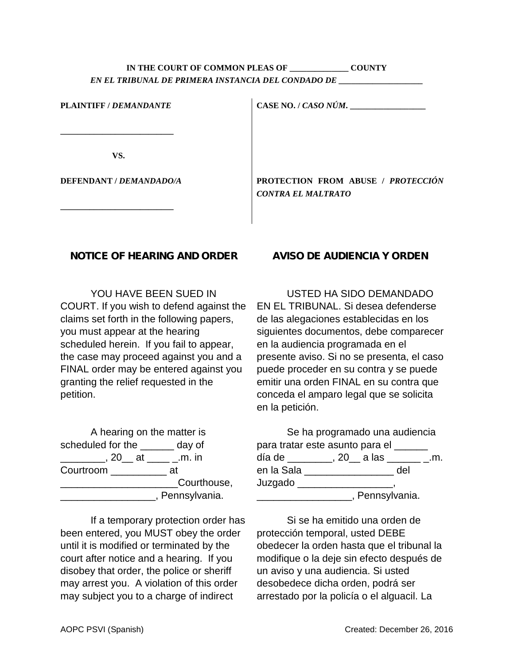### IN THE COURT OF COMMON PLEAS OF **COUNTY** *EN EL TRIBUNAL DE PRIMERA INSTANCIA DEL CONDADO DE \_\_\_\_\_\_\_\_\_\_\_\_\_\_\_\_\_\_\_\_*

| <b>PLAINTIFF / DEMANDANTE</b> | CASE NO. / CASO NÚM.                                     |  |  |
|-------------------------------|----------------------------------------------------------|--|--|
|                               |                                                          |  |  |
| VS.                           |                                                          |  |  |
| DEFENDANT / DEMANDADO/A       | PROTECTION FROM ABUSE / PROTECCIÓN<br>CONTRA EL MALTRATO |  |  |

#### **NOTICE OF HEARING AND ORDER**

**\_\_\_\_\_\_\_\_\_\_\_\_\_\_\_\_\_\_\_\_\_\_\_\_\_\_\_**

YOU HAVE BEEN SUED IN COURT. If you wish to defend against the claims set forth in the following papers, you must appear at the hearing scheduled herein. If you fail to appear, the case may proceed against you and a FINAL order may be entered against you granting the relief requested in the petition.

A hearing on the matter is scheduled for the \_\_\_\_\_\_ day of \_\_\_\_\_\_\_\_, 20\_\_ at \_\_\_\_ \_.m. in Courtroom \_\_\_\_\_\_\_\_\_\_ at \_\_\_\_\_\_\_\_\_\_\_\_\_\_\_\_\_\_\_\_\_Courthouse, \_\_\_\_\_\_\_\_\_\_\_\_\_\_\_\_\_, Pennsylvania.

If a temporary protection order has been entered, you MUST obey the order until it is modified or terminated by the court after notice and a hearing. If you disobey that order, the police or sheriff may arrest you. A violation of this order may subject you to a charge of indirect

### **AVISO DE AUDIENCIA Y ORDEN**

USTED HA SIDO DEMANDADO EN EL TRIBUNAL. Si desea defenderse de las alegaciones establecidas en los siguientes documentos, debe comparecer en la audiencia programada en el presente aviso. Si no se presenta, el caso puede proceder en su contra y se puede emitir una orden FINAL en su contra que conceda el amparo legal que se solicita en la petición.

|                                          | Se ha programado una audiencia |     |  |
|------------------------------------------|--------------------------------|-----|--|
| para tratar este asunto para el ____     |                                |     |  |
| día de ________, 20__ a las _______ _.m. |                                |     |  |
| en la Sala                               |                                | del |  |
| Juzgado                                  |                                |     |  |
|                                          | , Pennsylvania.                |     |  |

Si se ha emitido una orden de protección temporal, usted DEBE obedecer la orden hasta que el tribunal la modifique o la deje sin efecto después de un aviso y una audiencia. Si usted desobedece dicha orden, podrá ser arrestado por la policía o el alguacil. La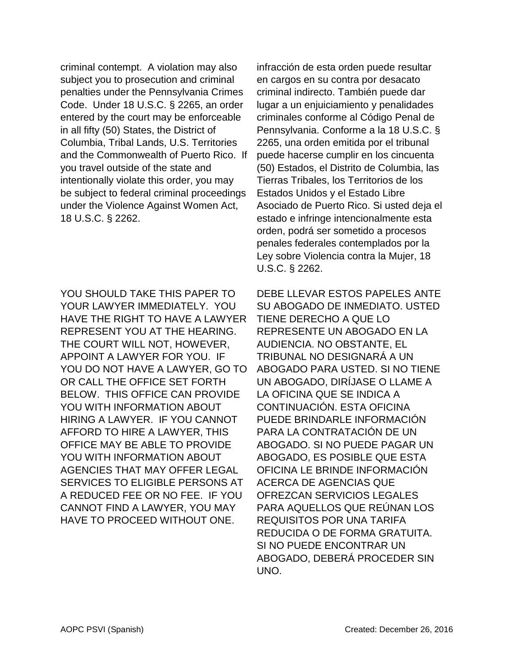criminal contempt. A violation may also subject you to prosecution and criminal penalties under the Pennsylvania Crimes Code. Under 18 U.S.C. § 2265, an order entered by the court may be enforceable in all fifty (50) States, the District of Columbia, Tribal Lands, U.S. Territories and the Commonwealth of Puerto Rico. If you travel outside of the state and intentionally violate this order, you may be subject to federal criminal proceedings under the Violence Against Women Act, 18 U.S.C. § 2262.

YOU SHOULD TAKE THIS PAPER TO YOUR LAWYER IMMEDIATELY. YOU HAVE THE RIGHT TO HAVE A LAWYER REPRESENT YOU AT THE HEARING. THE COURT WILL NOT, HOWEVER, APPOINT A LAWYER FOR YOU. IF YOU DO NOT HAVE A LAWYER, GO TO OR CALL THE OFFICE SET FORTH BELOW. THIS OFFICE CAN PROVIDE YOU WITH INFORMATION ABOUT HIRING A LAWYER. IF YOU CANNOT AFFORD TO HIRE A LAWYER, THIS OFFICE MAY BE ABLE TO PROVIDE YOU WITH INFORMATION ABOUT AGENCIES THAT MAY OFFER LEGAL SERVICES TO ELIGIBLE PERSONS AT A REDUCED FEE OR NO FEE. IF YOU CANNOT FIND A LAWYER, YOU MAY HAVE TO PROCEED WITHOUT ONE.

infracción de esta orden puede resultar en cargos en su contra por desacato criminal indirecto. También puede dar lugar a un enjuiciamiento y penalidades criminales conforme al Código Penal de Pennsylvania. Conforme a la 18 U.S.C. § 2265, una orden emitida por el tribunal puede hacerse cumplir en los cincuenta (50) Estados, el Distrito de Columbia, las Tierras Tribales, los Territorios de los Estados Unidos y el Estado Libre Asociado de Puerto Rico. Si usted deja el estado e infringe intencionalmente esta orden, podrá ser sometido a procesos penales federales contemplados por la Ley sobre Violencia contra la Mujer, 18 U.S.C. § 2262.

DEBE LLEVAR ESTOS PAPELES ANTE SU ABOGADO DE INMEDIATO. USTED TIENE DERECHO A QUE LO REPRESENTE UN ABOGADO EN LA AUDIENCIA. NO OBSTANTE, EL TRIBUNAL NO DESIGNARÁ A UN ABOGADO PARA USTED. SI NO TIENE UN ABOGADO, DIRÍJASE O LLAME A LA OFICINA QUE SE INDICA A CONTINUACIÓN. ESTA OFICINA PUEDE BRINDARLE INFORMACIÓN PARA LA CONTRATACIÓN DE UN ABOGADO. SI NO PUEDE PAGAR UN ABOGADO, ES POSIBLE QUE ESTA OFICINA LE BRINDE INFORMACIÓN ACERCA DE AGENCIAS QUE OFREZCAN SERVICIOS LEGALES PARA AQUELLOS QUE REÚNAN LOS REQUISITOS POR UNA TARIFA REDUCIDA O DE FORMA GRATUITA. SI NO PUEDE ENCONTRAR UN ABOGADO, DEBERÁ PROCEDER SIN UNO.